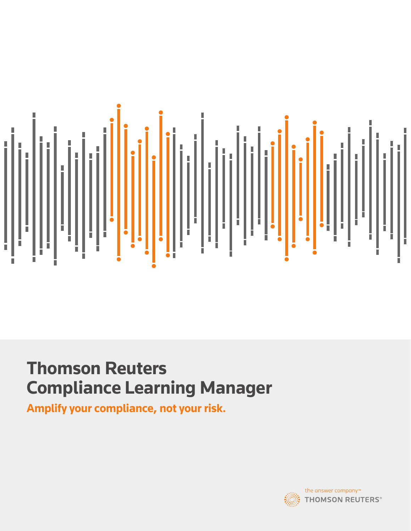

# **Thomson Reuters Compliance Learning Manager**

**Amplify your compliance, not your risk.**

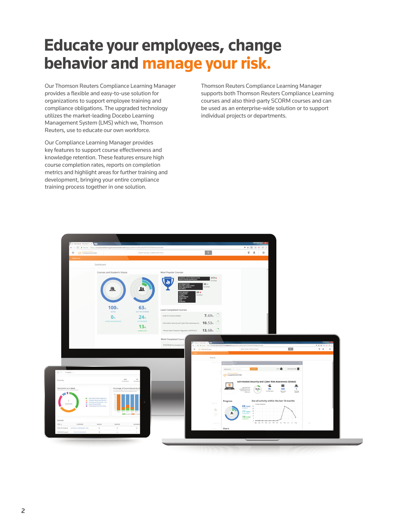## **Educate your employees, change behavior and manage your risk.**

Our Thomson Reuters Compliance Learning Manager provides a flexible and easy-to-use solution for organizations to support employee training and compliance obligations. The upgraded technology utilizes the market-leading Docebo Learning Management System (LMS) which we, Thomson Reuters, use to educate our own workforce.

Our Compliance Learning Manager provides key features to support course effectiveness and knowledge retention. These features ensure high course completion rates, reports on completion metrics and highlight areas for further training and development, bringing your entire compliance training process together in one solution.

Thomson Reuters Compliance Learning Manager supports both Thomson Reuters Compliance Learning courses and also third-party SCORM courses and can be used as an enterprise-wide solution or to support individual projects or departments.

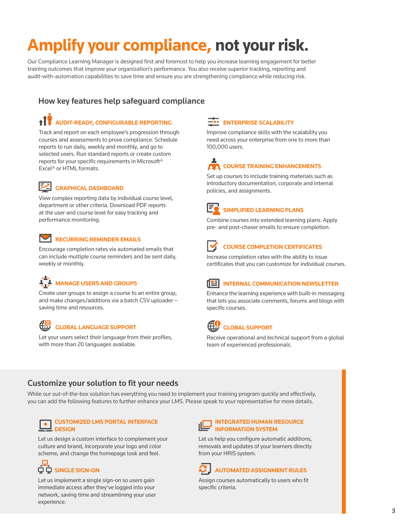# **Amplify your compliance, not your risk.**

Our Compliance Learning Manager is designed first and foremost to help you increase learning engagement for better training outcomes that improve your organization's performance. You also receive superior tracking, reporting and audit-with-automation capabilities to save time and ensure you are strengthening compliance while reducing risk.

#### How key features help safeguard compliance

## **AUDIT-READY, CONFIGURABLE REPORTING**

Track and report on each employee's progression through courses and assessments to prove compliance. Schedule reports to run daily, weekly and monthly, and go to selected users. Run standard reports or create custom reports for your specific requirements in Microsoft® Excel® or HTML formats.



#### **GRAPHICAL DASHBOARD**

View complex reporting data by individual course level, department or other criteria. Download PDF reports at the user and course level for easy tracking and performance monitoring.



#### **RECURRING REMINDER EMAILS**

Encourage completion rates via automated emails that can include multiple course reminders and be sent daily, weekly or monthly.

## **MANAGE USERS AND GROUPS**

Create user groups to assign a course to an entire group, and make changes/additions via a batch CSV uploader – saving time and resources.



#### **GLOBAL LANGUAGE SUPPORT**

Let your users select their language from their profiles, with more than 20 languages available.

#### **ENTERPRISE SCALABILITY**

Improve compliance skills with the scalability you need across your enterprise from one to more than 100,000 users.

## **COURSE TRAINING ENHANCEMENTS**

Set up courses to include training materials such as introductory documentation, corporate and internal policies, and assignments.



#### **SIMPLIFIED LEARNING PLANS**

Combine courses into extended learning plans. Apply pre- and post-chaser emails to ensure completion.



#### **COURSE COMPLETION CERTIFICATES**

Increase completion rates with the ability to issue certificates that you can customize for individual courses.



#### **INTERNAL COMMUNICATION NEWSLETTER**

Enhance the learning experience with built-in messaging that lets you associate comments, forums and blogs with specific courses.



#### **GLOBAL SUPPORT**

Receive operational and technical support from a global team of experienced professionals.

#### Customize your solution to fit your needs

While our out-of-the-box solution has everything you need to implement your training program quickly and effectively, you can add the following features to further enhance your LMS. Please speak to your representative for more details.



#### **CUSTOMIZED LMS PORTAL INTERFACE DESIGN**

Let us design a custom interface to complement your culture and brand, incorporate your logo and color scheme, and change the homepage look and feel.



Let us implement a single sign-on so users gain immediate access after they've logged into your network, saving time and streamlining your user experience.



Let us help you configure automatic additions, removals and updates of your learners directly from your HRIS system.



Assign courses automatically to users who fit specific criteria.